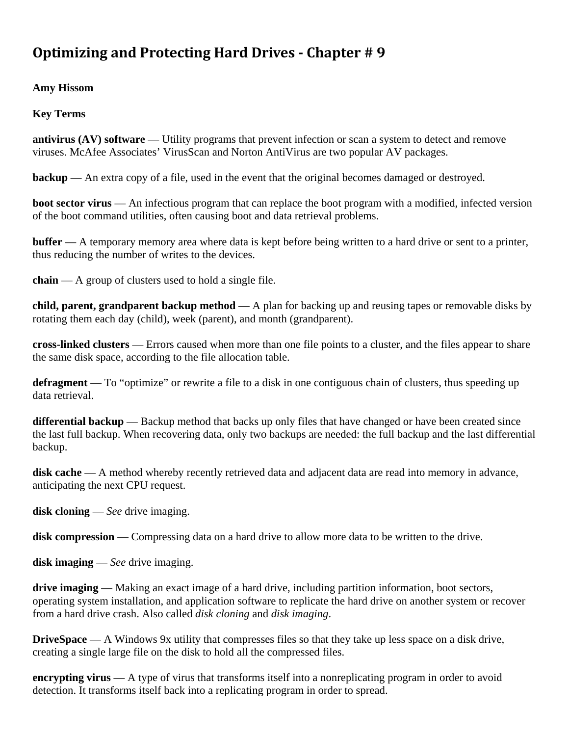# **Optimizing and Protecting Hard Drives - Chapter #9**

**Amy Hissom** 

**Key Terms** 

**antivirus (AV) software** — Utility programs that prevent infection or scan a system to detect and remove viruses. McAfee Associates' VirusScan and Norton AntiVirus are two popular AV packages.

**backup** — An extra copy of a file, used in the event that the original becomes damaged or destroyed.

**boot sector virus** — An infectious program that can replace the boot program with a modified, infected version of the boot command utilities, often causing boot and data retrieval problems.

**buffer** — A temporary memory area where data is kept before being written to a hard drive or sent to a printer, thus reducing the number of writes to the devices.

**chain** — A group of clusters used to hold a single file.

**child, parent, grandparent backup method** — A plan for backing up and reusing tapes or removable disks by rotating them each day (child), week (parent), and month (grandparent).

**cross-linked clusters** — Errors caused when more than one file points to a cluster, and the files appear to share the same disk space, according to the file allocation table.

**defragment** — To "optimize" or rewrite a file to a disk in one contiguous chain of clusters, thus speeding up data retrieval.

**differential backup** — Backup method that backs up only files that have changed or have been created since the last full backup. When recovering data, only two backups are needed: the full backup and the last differential backup.

**disk cache** — A method whereby recently retrieved data and adjacent data are read into memory in advance, anticipating the next CPU request.

**disk cloning** — *See* drive imaging.

disk compression — Compressing data on a hard drive to allow more data to be written to the drive.

**disk imaging** — *See* drive imaging.

**drive imaging** — Making an exact image of a hard drive, including partition information, boot sectors, operating system installation, and application software to replicate the hard drive on another system or recover from a hard drive crash. Also called *disk cloning* and *disk imaging*.

**DriveSpace** — A Windows 9x utility that compresses files so that they take up less space on a disk drive, creating a single large file on the disk to hold all the compressed files.

**encrypting virus** — A type of virus that transforms itself into a nonreplicating program in order to avoid detection. It transforms itself back into a replicating program in order to spread.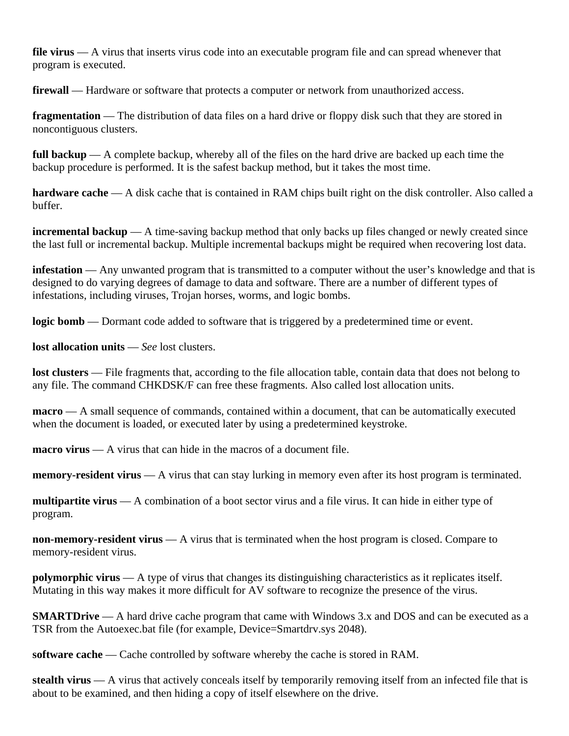**file virus** — A virus that inserts virus code into an executable program file and can spread whenever that program is executed.

**firewall** — Hardware or software that protects a computer or network from unauthorized access.

**fragmentation** — The distribution of data files on a hard drive or floppy disk such that they are stored in noncontiguous clusters.

**full backup** — A complete backup, whereby all of the files on the hard drive are backed up each time the backup procedure is performed. It is the safest backup method, but it takes the most time.

**hardware cache** — A disk cache that is contained in RAM chips built right on the disk controller. Also called a buffer.

**incremental backup** — A time-saving backup method that only backs up files changed or newly created since the last full or incremental backup. Multiple incremental backups might be required when recovering lost data.

**infestation** — Any unwanted program that is transmitted to a computer without the user's knowledge and that is designed to do varying degrees of damage to data and software. There are a number of different types of infestations, including viruses, Trojan horses, worms, and logic bombs.

**logic bomb** — Dormant code added to software that is triggered by a predetermined time or event.

**lost allocation units** — *See* lost clusters.

**lost clusters** — File fragments that, according to the file allocation table, contain data that does not belong to any file. The command CHKDSK/F can free these fragments. Also called lost allocation units.

**macro** — A small sequence of commands, contained within a document, that can be automatically executed when the document is loaded, or executed later by using a predetermined keystroke.

**macro virus** — A virus that can hide in the macros of a document file.

**memory-resident virus** — A virus that can stay lurking in memory even after its host program is terminated.

**multipartite virus** — A combination of a boot sector virus and a file virus. It can hide in either type of program.

**non-memory-resident virus** — A virus that is terminated when the host program is closed. Compare to memory-resident virus.

**polymorphic virus** — A type of virus that changes its distinguishing characteristics as it replicates itself. Mutating in this way makes it more difficult for AV software to recognize the presence of the virus.

**SMARTDrive** — A hard drive cache program that came with Windows 3.x and DOS and can be executed as a TSR from the Autoexec.bat file (for example, Device=Smartdrv.sys 2048).

**software cache** — Cache controlled by software whereby the cache is stored in RAM.

**stealth virus** — A virus that actively conceals itself by temporarily removing itself from an infected file that is about to be examined, and then hiding a copy of itself elsewhere on the drive.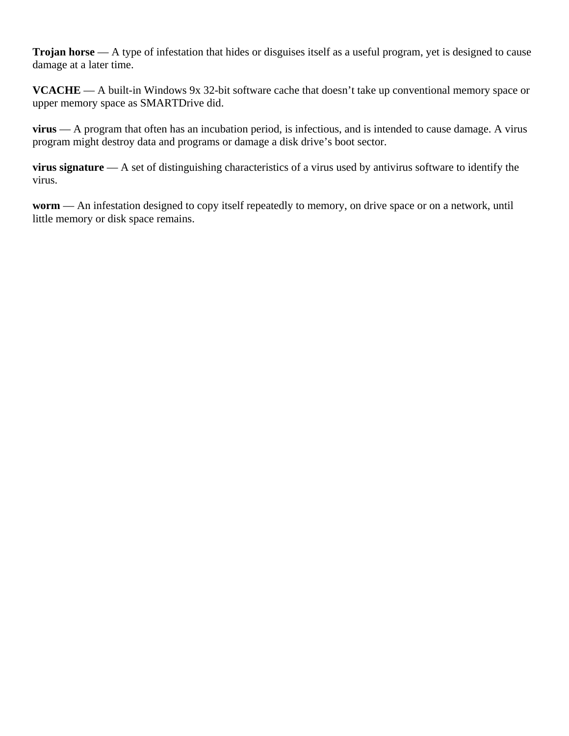**Trojan horse** — A type of infestation that hides or disguises itself as a useful program, yet is designed to cause damage at a later time.

**VCACHE** — A built-in Windows 9x 32-bit software cache that doesn't take up conventional memory space or upper memory space as SMARTDrive did.

**virus** — A program that often has an incubation period, is infectious, and is intended to cause damage. A virus program might destroy data and programs or damage a disk drive's boot sector.

**virus signature** — A set of distinguishing characteristics of a virus used by antivirus software to identify the virus.

**worm** — An infestation designed to copy itself repeatedly to memory, on drive space or on a network, until little memory or disk space remains.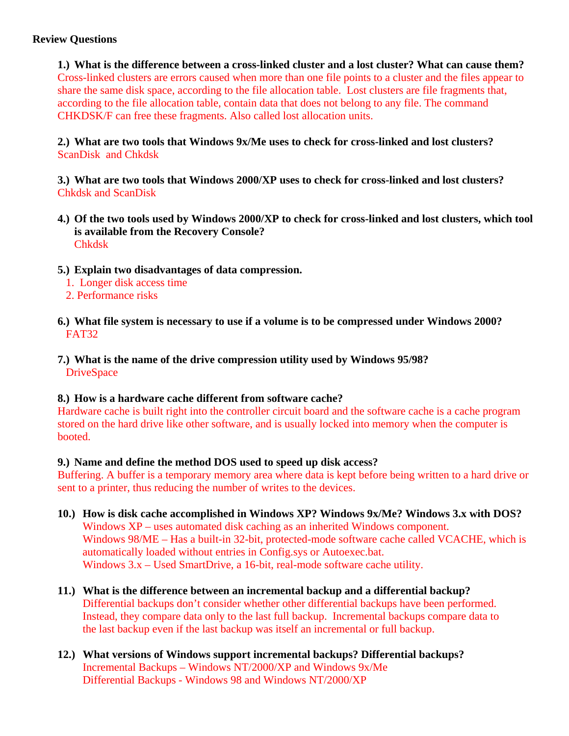# **Review Questions**

**1.) What is the difference between a cross-linked cluster and a lost cluster? What can cause them?**  Cross-linked clusters are errors caused when more than one file points to a cluster and the files appear to share the same disk space, according to the file allocation table. Lost clusters are file fragments that, according to the file allocation table, contain data that does not belong to any file. The command CHKDSK/F can free these fragments. Also called lost allocation units.

**2.) What are two tools that Windows 9x/Me uses to check for cross-linked and lost clusters?**  ScanDisk and Chkdsk

**3.) What are two tools that Windows 2000/XP uses to check for cross-linked and lost clusters?**  Chkdsk and ScanDisk

- **4.) Of the two tools used by Windows 2000/XP to check for cross-linked and lost clusters, which tool is available from the Recovery Console?**  Chkdsk
- **5.) Explain two disadvantages of data compression.** 
	- 1. Longer disk access time
	- 2. Performance risks
- **6.) What file system is necessary to use if a volume is to be compressed under Windows 2000?**  FAT32
- **7.) What is the name of the drive compression utility used by Windows 95/98? DriveSpace**

### **8.) How is a hardware cache different from software cache?**

Hardware cache is built right into the controller circuit board and the software cache is a cache program stored on the hard drive like other software, and is usually locked into memory when the computer is booted.

### **9.) Name and define the method DOS used to speed up disk access?**

Buffering. A buffer is a temporary memory area where data is kept before being written to a hard drive or sent to a printer, thus reducing the number of writes to the devices.

- **10.) How is disk cache accomplished in Windows XP? Windows 9x/Me? Windows 3.x with DOS?** Windows XP – uses automated disk caching as an inherited Windows component. Windows 98/ME – Has a built-in 32-bit, protected-mode software cache called VCACHE, which is automatically loaded without entries in Config.sys or Autoexec.bat. Windows 3.x – Used SmartDrive, a 16-bit, real-mode software cache utility.
- **11.) What is the difference between an incremental backup and a differential backup?**  Differential backups don't consider whether other differential backups have been performed. Instead, they compare data only to the last full backup. Incremental backups compare data to the last backup even if the last backup was itself an incremental or full backup.
- **12.) What versions of Windows support incremental backups? Differential backups?**  Incremental Backups – Windows NT/2000/XP and Windows 9x/Me Differential Backups - Windows 98 and Windows NT/2000/XP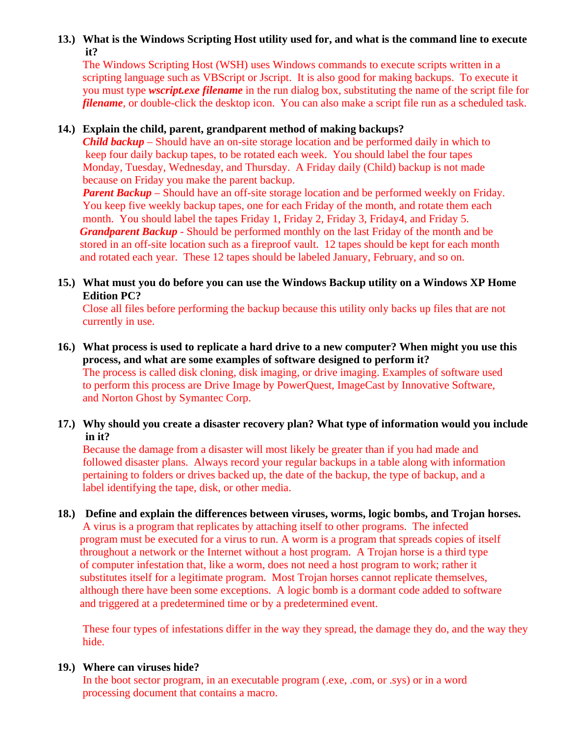# **13.) What is the Windows Scripting Host utility used for, and what is the command line to execute it?**

The Windows Scripting Host (WSH) uses Windows commands to execute scripts written in a scripting language such as VBScript or Jscript. It is also good for making backups. To execute it you must type *wscript.exe filename* in the run dialog box, substituting the name of the script file for *filename*, or double-click the desktop icon. You can also make a script file run as a scheduled task.

## **14.) Explain the child, parent, grandparent method of making backups?**

*Child backup* – Should have an on-site storage location and be performed daily in which to keep four daily backup tapes, to be rotated each week. You should label the four tapes Monday, Tuesday, Wednesday, and Thursday. A Friday daily (Child) backup is not made because on Friday you make the parent backup.

*Parent Backup* – Should have an off-site storage location and be performed weekly on Friday. You keep five weekly backup tapes, one for each Friday of the month, and rotate them each month. You should label the tapes Friday 1, Friday 2, Friday 3, Friday 4, and Friday 5. *Grandparent Backup* - Should be performed monthly on the last Friday of the month and be stored in an off-site location such as a fireproof vault. 12 tapes should be kept for each month and rotated each year. These 12 tapes should be labeled January, February, and so on.

## **15.) What must you do before you can use the Windows Backup utility on a Windows XP Home Edition PC?**

Close all files before performing the backup because this utility only backs up files that are not currently in use.

### **16.) What process is used to replicate a hard drive to a new computer? When might you use this process, and what are some examples of software designed to perform it?** The process is called disk cloning, disk imaging, or drive imaging. Examples of software used to perform this process are Drive Image by PowerQuest, ImageCast by Innovative Software, and Norton Ghost by Symantec Corp.

# **17.) Why should you create a disaster recovery plan? What type of information would you include in it?**

Because the damage from a disaster will most likely be greater than if you had made and followed disaster plans. Always record your regular backups in a table along with information pertaining to folders or drives backed up, the date of the backup, the type of backup, and a label identifying the tape, disk, or other media.

## **18.) Define and explain the differences between viruses, worms, logic bombs, and Trojan horses.** A virus is a program that replicates by attaching itself to other programs. The infected program must be executed for a virus to run. A worm is a program that spreads copies of itself throughout a network or the Internet without a host program. A Trojan horse is a third type of computer infestation that, like a worm, does not need a host program to work; rather it substitutes itself for a legitimate program. Most Trojan horses cannot replicate themselves, although there have been some exceptions. A logic bomb is a dormant code added to software and triggered at a predetermined time or by a predetermined event.

 These four types of infestations differ in the way they spread, the damage they do, and the way they hide.

# **19.) Where can viruses hide?**

In the boot sector program, in an executable program (.exe, .com, or .sys) or in a word processing document that contains a macro.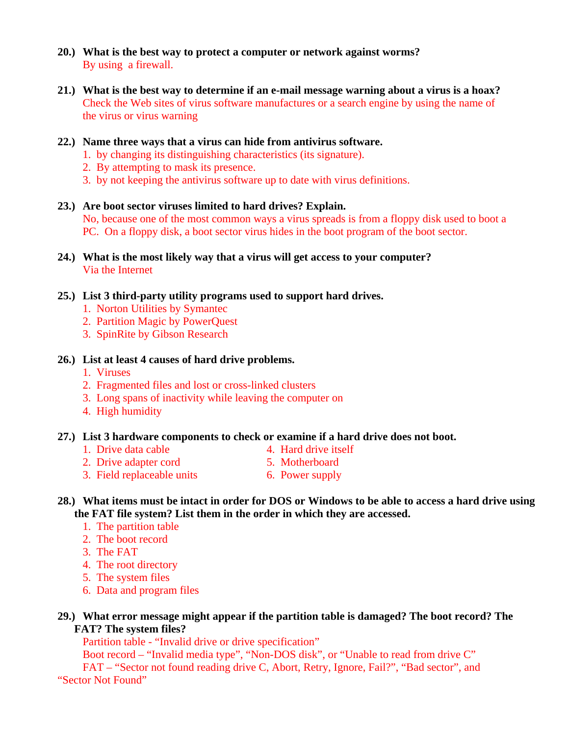- **20.) What is the best way to protect a computer or network against worms?** By using a firewall.
- **21.) What is the best way to determine if an e-mail message warning about a virus is a hoax?** Check the Web sites of virus software manufactures or a search engine by using the name of the virus or virus warning
- **22.) Name three ways that a virus can hide from antivirus software.** 
	- 1. by changing its distinguishing characteristics (its signature).
	- 2. By attempting to mask its presence.
	- 3. by not keeping the antivirus software up to date with virus definitions.
- **23.) Are boot sector viruses limited to hard drives? Explain.**  No, because one of the most common ways a virus spreads is from a floppy disk used to boot a PC. On a floppy disk, a boot sector virus hides in the boot program of the boot sector.
- **24.) What is the most likely way that a virus will get access to your computer?** Via the Internet
- **25.) List 3 third-party utility programs used to support hard drives.** 
	- 1. Norton Utilities by Symantec
	- 2. Partition Magic by PowerQuest
	- 3. SpinRite by Gibson Research

#### **26.) List at least 4 causes of hard drive problems.**

- 1. Viruses
- 2. Fragmented files and lost or cross-linked clusters
- 3. Long spans of inactivity while leaving the computer on
- 4. High humidity

#### **27.) List 3 hardware components to check or examine if a hard drive does not boot.**

- 1. Drive data cable 4. Hard drive itself
- 
- 2. Drive adapter cord 5. Motherboard
- 
- 3. Field replaceable units 6. Power supply
- 
- **28.) What items must be intact in order for DOS or Windows to be able to access a hard drive using the FAT file system? List them in the order in which they are accessed.** 
	- 1. The partition table
	- 2. The boot record
	- 3. The FAT
	- 4. The root directory
	- 5. The system files
	- 6. Data and program files
- **29.) What error message might appear if the partition table is damaged? The boot record? The FAT? The system files?**

Partition table - "Invalid drive or drive specification"

Boot record – "Invalid media type", "Non-DOS disk", or "Unable to read from drive C"

 FAT – "Sector not found reading drive C, Abort, Retry, Ignore, Fail?", "Bad sector", and "Sector Not Found"